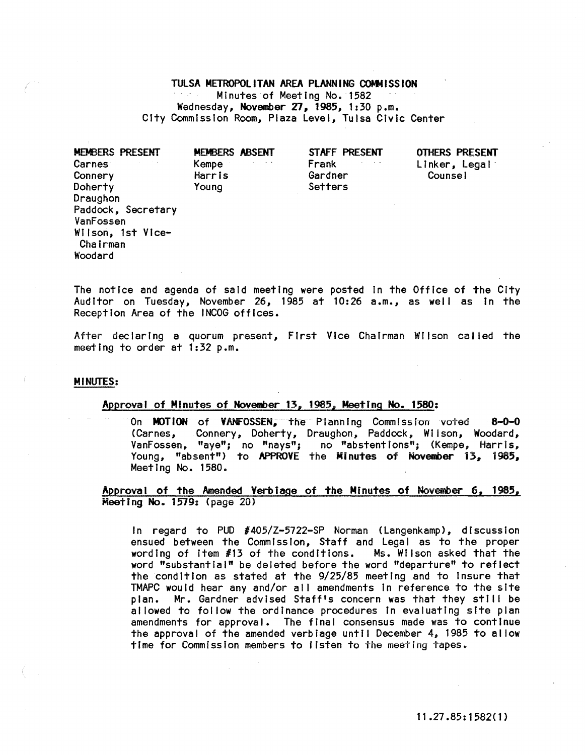TULSA METROPOLITAN AREA PLANNING COMMISSION Minutes-of Meeting No. 1582 Wednesday, November 27, 1985, 1:30 p.m. City Commission Room, Plaza Level, Tulsa Civic Center

**MEMBERS PRESENT** Carnes<br>Connery **MEMBERS ABSENT** Kempe STAfF PRESENT Frank Connery Counsel Doherty Draughon Harris Young Gardner **Setters** Paddock, Secretary VanFossen Wilson, 1st Vlce-Chairman Woodard

The notice and agenda of said meeting were posted In the Office of the City Auditor on Tuesday, November 26, 1985 at 10:26 a.m., as well as In the ReceptIon Area of the INCOG offices.

After declaring a quorum present, First Vice Chairman Wilson called the meeting to order at 1:32 p.m.

#### MINUTES:

#### Approval of Minutes of November 13, 1985, Meeting No. 1580:

On MOTION of VANFOSSEN, the Planning Commission voted 8-0-0 (Carnes, Connery, Doherty, Draughon, Paddock, Wilson, Woodard, VanFossen, "aye"; no "nays"; no "abstentions"; (Kempe, Harris, Young, "absent") to APPROVE the Minutes of November 13, 1985, Meeting No. 1580.

Approval of the Amended Verbiage of the Minutes of November 6, 1985, Meeting No. 1579: (page 20)

In regard to PUD #405/Z-5722-SP Norman (Langenkamp), discussion ensued between the Commission, Staff and Legal as to the proper wording of Item #13 of the conditions. Ms. Wilson asked that the word "substantial" be deleted before the word "departure" to reflect the condition as stated at the 9/25/85 meeting and to Insure that TMAPC would hear any and/or all amendments In reference to the site plan. Mr. Gardner advised Staff's concern was that they still be allowed to follow the ordinance procedures In evaluating site plan amendments for approval. The final consensus made was to continue the approval of the amended verbiage until December 4, 1985 to allow time for Commfssion members to iisten to the meeting tapes.

OTHERS PRESENT Linker, Legal<br>Counsel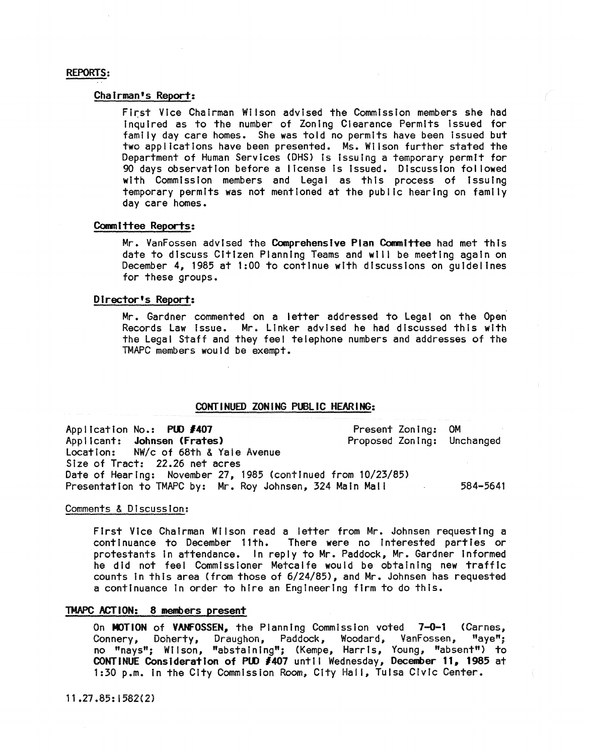# REPORTS:

# ChaIrman's Report:

First Vice Chairman Wilson advised the Commission members she had Inquired as to the number of Zoning Clearance Permits issued for family day care homes. She was told no permits have been Issued but two applications have been presented. Ms. Wilson further stated the Department of Human Services (DHS) is issuing a temporary permit for 90 days observation before a license is issued. Discussion fol lowed with Commission members and Legal as this process of issuing temporary permits was not mentioned at the public hearing on family day care homes.

### Committee Reports:

Mr. VanFossen advised the ComprehensIve Plan Committee had met this date to discuss Citizen Planning Teams and will be meeting again on December 4, 1985 at 1:00 to continue with discussions on guidelines for these groups.

# Director's Report:

Mr. Gardner commented on a letter addressed to Legal on the Open Records Law Issue. Mr. Linker advised he had discussed this with the Legal Staff and they feel telephone numbers and addresses of the TMAPC members would be exempt.

### CONT I HUED ZON I NG PUBLIC HEAR I NG:

App Ilcation No.: PW *1401*  Applicant: Johnsen (Frates) Location: NW/c of 68th & Yale Avenue Size of Tract: 22.26 net acres Present Zoning: Proposed Zoning: Unchanged Date of Hearing: November 27, 1985 (continued from 10/23/85) Presentation to TMAPC by: Mr. Roy Johnsen, 324 Main Mal I OM 584-5641

# Comments & Discussion:

First Vice Chairman Wilson read a letter from Mr. Johnsen requesting a continuance to December 11th. There were no interested parties or There were no interested parties or protestants In attendance. In reply to Mr. Paddock, Mr. Gardner Informed he did not feel CommIssioner Metcalfe would be obtaining new traffic counts In this area (from those of 6/24/85), and Mr. Johnsen has requested a continuance in order to hire an Engineering firm to do this.

# TMAPC ACTION: 8 members present

On MOTION of VANFOSSEN, the Planning Commission voted 7-0-1 (Carnes, Connerv. Doherty, Draughon, Paddock, Woodard, VanFossen, "aye": Connery, Doherty, Draughon, Paddock, Woodard, VanFossen, no "nays"; Wilson, "abstaining"; (Kempe, Harris, Young, "absent") to CONTINUE COnsideration of PW *1401* until Wednesday, December 11, 1985 at 1:30 p.m. in the City Commission Room, City Hall, Tulsa Civic Center.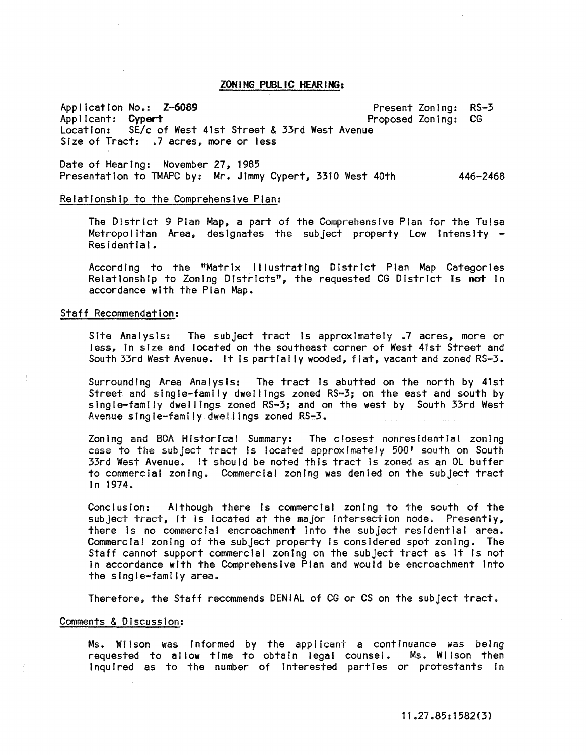### ZON ING PUBLIC HEARING:

Application No.: Z-6089 Present Zoning: RS-3<br>Applicant: Cypert Proposed Zoning: CG Applicant: Cypert<br>location: SE/c of West 41st Street & 33rd West Avenue  $SÉ/c$  of West 41st Street & 33rd West Avenue Size of Tract: .7 acres, more or less

Date of Hearing: November 27, 1985 Presentation to TMAPC by: Mr. Jimmy Cypert, 3310 West 40th 446-2468

#### Relationship to the Comprehensive Plan:

The District 9 Pian Map, a part of the Comprehensive Plan for the Tulsa Metropolitan Area, designates the subject property Low Intensity <del>-</del><br>Residentiai.

According to the "Matrix Illustrating District Plan Map Categories Relationship to Zoning Districts", the requested CG DistrIct Is not In accordance with the Plan Map.

# Staff Recommendation:

Site Analysis: The subject tract Is approximately .7 acres, more or less, In size and located on the southeast corner of West 41st Street and South 33rd West Avenue. It Is partially wooded, flat, vacant and zoned RS~3.

SurroundIng Area Analysis: The tract Is abutted on the north by 41st Street and single-family dwellings zoned RS-3; on the east and south by single-famIly dwellings zoned RS-3; and on the west by South 33rd West Avenue single-family dwellIngs zoned RS-3.

Zoning and BOA Historical Summary: The closest nonresidential zoning case to the subject tract Is located approximately 500' south on South 33rd West Avenue. It should be noted this tract Is zoned as an OL buffer to commercial zoning. Commercial zoning was dented on the subject tract t n 1974.

Conclusion: Although there is commercial zoning to the south of the subject tract, it is located at the major intersection node. Presently, there is no commercial encroachment into the subject residential area. Commercial zoning of the subject property is considered spot zoning. The Staff cannot support commercIal zoning on the subject tract as It Is not In accordance with the Comprehensive Plan and would be encroachment Into the single-family area.

Therefore, the Staff recommends DENIAL of CG or CS on the subject tract.

# Comments & Discussion:

Ms. Wilson was informed by the appiicant a continuance was being requested to allow time to obtain legal counsel. Inquired as to the number of interested partIes or protestants In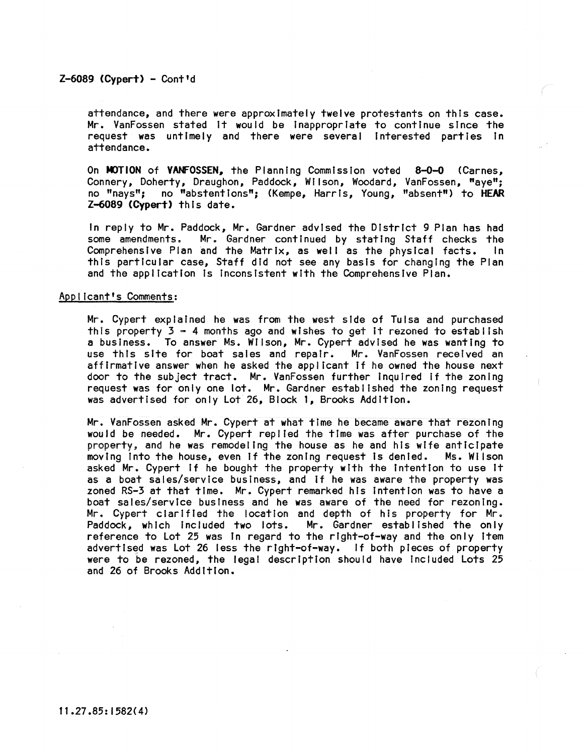## $Z-6089$  (Cypert) - Cont'd

attendance, and there were approximately twelve protestants on this case. Mr. VanFossen stated it would be Inappropriate to continue since the request was untimely and there were several Interested parties In attendance.

On MOTION of VANFOSSEN, the Planning Commission voted 8-0-0 (Carnes, Connery, Doherty, Draughon, Paddock, Wilson, Woodard, VanFossen, "aye"; no "nays"; no "abstentions"; (Kempe, Harris, Young, "absent") to HEAR Z-6089 (Cypert) this date.

In reply to Mr. Paddock, Mr. Gardner advised the District 9 Plan has had<br>some amendments. Mr. Gardner continued by stating Staff checks the Mr. Gardner continued by stating Staff checks the and the Matrix. as well as the physical facts. In Comprehensive Plan and the Matrix, as well as the physical facts. this particular case, Staff did not see any basis for changing the Plan and the application Is Inconsistent with the Comprehensive Plan.

## Applicant's Comments:

Mr. Cypert explained he was from the west side of Tulsa and purchased this property  $3 - 4$  months ago and wishes to get it rezoned to establish a business. To answer Ms. Wilson, Mr. Cypert advised he was wanting to<br>use this site for boat sales and repair. Mr. VanFossen received an use this site for boat sales and repair. affirmative answer when he asked the applicant If he owned the house next door to the subject tract. Mr. VanFossen further Inquired If the zoning request was for only one lot. Mr. Gardner established the zoning request was advertised for only Lot 26, Block 1, Brooks Addition.

Mr. VanFossen asked Mr. Cypert at what time he became aware that rezoning would be needed. Mr. Cypert *replied* the time was after purchase of the property, and he was remodeling the house as he and his wife anticipate<br>moving into the house, even if the zoning request is denied. Ms. Wilson moving into the house, even if the zoning request is denied. asked Mr. Cypert if he bought the property with the Intention to use It as a boat sales/service business, and If he was aware the property was zoned RS-3 at that time. Mr. Cypert remarked his intention was to have a boat sales/service business and he was aware of the need for rezoning. Mr. Cypert clarified the location and depth of his property for Mr. Paddock, which included two lots. Mr. Gardner established the only reference to Lot 25 was In regard to the right-of-way and the only Item advertised was Lot 26 less the right-of-way. If both pieces of property were to be rezoned, the legal description *should* have *Included* Lots 25 and 26 of Brooks Addition.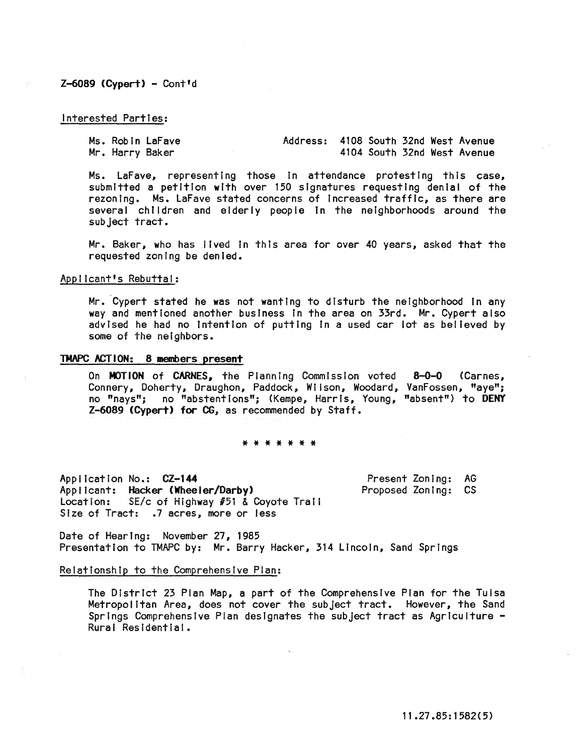## $Z-6089$  (Cypert) - Cont'd

# Interested Parties:

Ms. Robin LaFave Mr. Harry Baker

## Address: 4108 South 32nd West Avenue 4104 South 32nd West Avenue

Ms. LaFave, representing those In attendance protesting this case, submitted a petition with over 150 signatures requesting denial of the rezoning. Ms. LaFave stated concerns of Increased traffic, as there are several chi Idren and elderly people In the neighborhoods around the subject tract.

Mr. Baker, who has lived in this area for over 40 years, asked that the requested zoning be denied.

## Applicant's Rebuttal:

Mr. 'Cypert stated he was not wanting to disturb the neighborhood In any way and mentioned another business In the area on 33rd. Mr. Cypert also advised he had no IntentIon of putting In a used car lot as believed by some of the neighbors.

# TMAPC ACTION: 8 members present

On MOTION of CARNES, the Planning Commission voted 8-0-0 (Carnes, Connery, Doherty, Draughon, Paddock, Wilson, Woodard, VanFossen, "aye"; no "nays"; no "abstentions"; (Kempe, Harris, Young, "absent") to DENY Z-6089 (Cypert) for OS, as recommended by Staff.

## \* \* \* \* \* \* \*

Application No.: CZ-144 Applicant: Hacker (Wheeler/Darby) Location: *SEic* of Highway *151* & Coyote Trail SIze of Tract: .7 acres, more or less

Present Zoning: AG Proposed Zoning: CS

Date of Hearing: November 27, 1985 Presentation to TMAPC by: Mr. Barry Hacker, 314 Lincoln, Sand Springs

#### Relationship to the Comprehensive Plan:

The District 23 Plan Map, a part of the Comprehensive Plan for the Tulsa MetropolItan Area, does not cover the subject tract. However, the Sand Springs Comprehensive Plan designates the subject tract as Agriculture -<br>Rural Residential.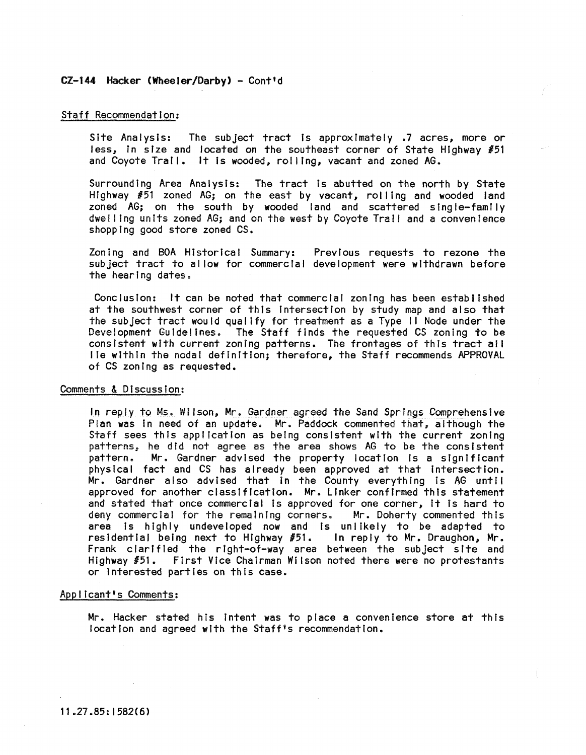# CZ-144 Hacker (Wheeler/Darby) - Cont'd

#### Staff Recommendation:

Site Analysis: The subject tract is approximately .7 acres, more or less; In size and located on the southeast corner of State Highway *151*  and Coyote Trail. It is wooded, rolling, vacant and zoned AG.

Surrounding Area Analysis: The tract is abutted on the north by State Highway #51 zoned AG; on the east by vacant, roiling and wooded land zoned AG; on the south by wooded land and scattered single-family dwelling units zoned AG; and on the west by Coyote Trail and a convenience shoppIng good store zoned CS.

Zoning and BOA Historical Summary: Previous requests to rezone the subject tract to allow for commercIal development were withdrawn before the hearing dates.

Conclusion: It can be noted that commercial zoning has been established at the southwest corner of this intersection by study map and also that the subject tract would qualify for treatment as a Type II Node under the Development Guidelines. The Staff finds the requested CS zoning to be consistent with current zoning patterns. The frontages of this tract al I lie within the nodal definition; therefore, the Staff recommends APPROVAL of CS zoning as requested.

### Comments & Discussion:

In reply to Ms. Wilson, Mr. Gardner agreed the Sand Springs Comprehensive Plan was In need of an update. Mr. Paddock commented that, although the Staff sees this application as being consistent with the current zoning patterns, he did not agree as the area shows AG to be the consistent pattern. Mr. Gardner advised the property location is a significant physical fact and CS has already been approved at that intersection. Mr. Gardner also advised that in the County everything is AG until approved for another classification. Mr. Linker confirmed this statement and stated that once commercial is approved for one corner, it is hard to deny commercial for the remaining corners. Mr. Doherty commented this deny commercial for the remaining corners. area is highly undeveloped now and is unlikely to be adapted to<br>residential being next to Highway #51. In reply to Mr. Draughon, Mr. residential being next to Highway #51. Frank clarified the right-of-way area between the subject site and Highway #51. First Vice Chairman Wilson noted there were no protestants or Interested parties on this case.

### Applicant's Comments:

Mr. Hacker stated his intent was to place a convenience store at this location and agreed wIth the Staff's recommendation.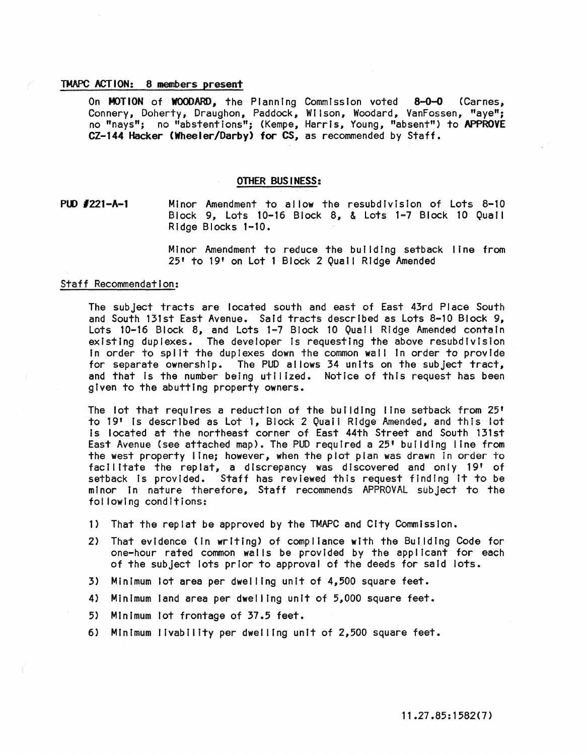#### TMAPC ACTION: 8 members present

On MOTION of WOODARD. the Planning Commission voted 8-0-0 (Carnes, Connery, Doherty, Draughon, Paddock, WIlson, Woodard, VanFossen, "aye"; no "nays"; no "abstentions"; (Kempe, Harris, Young, "absent") to APPROVE CZ-144 Hacker (Wheeler/Darby) for CS, as recommended by Staff.

# OTHER BUSINESS:

PLD  $#221 - A-1$ Minor Amendment to allow the resubdivision of Lots 8-10 Block 9, Lots 10-16 Block 8, & Lots 1-7 Block 10 Quail Ridge Blocks 1-10.

> Minor Amendment to reduce the building setback lIne from 25' to 19' on Lot 1 Block 2 Quail Ridge Amended

#### Staff Recommendation:

The sub ject tracts are located south and east of East 43rd Place South and South 131st East Avenue. Said tracts described as Lots 8-10 Block 9, Lots 10-16 Block 8, and Lots 1-7 Block 10 Quall Ridge Amended contain existing duplexes. The developer is requesting the above resubdivision in order to spilt the duplexes down the common wall In order to provIde for separate ownership. The PUD allows 34 units on the subject tract, and that Is the number being utilized. Notice of this request has been given to the abutting property owners.

The lot that requires a reductIon of the building line setback from 25' to 19' Is described as Lot 1, Block 2 Quail Ridge Amended. and this lot is located at the northeast corner of East 44th Street and South 131st East Avenue (see attached map). The PUD required a 25' building iine from the west property Ifne; however, when the plot plan was drawn in order to facilitate the replat, a dIscrepancy was discovered and only 19' of setback Is provided. Staff has reviewed this request finding it to be minor In nature therefore, Staff recommends APPROVAL subject to the fol lowing conditions:

- 1) That the replat be approved by the TMAPC and City CommIssion.
- 2) That evidence (In writing) of compltance with the Building Code for one-hour rated common walls be provided by the applicant for each of the subject lots prior to approval of the deeds for saId lots.
- 3) Minimum lot area per dwel ling unit of 4,500 square feet.
- 4) Minimum land area per dwelling unit of 5,000 square feet.
- 5) Minimum lot frontage of 37.5 feet.
- 6) Minimum livability per dwelling unit of 2,500 square feet.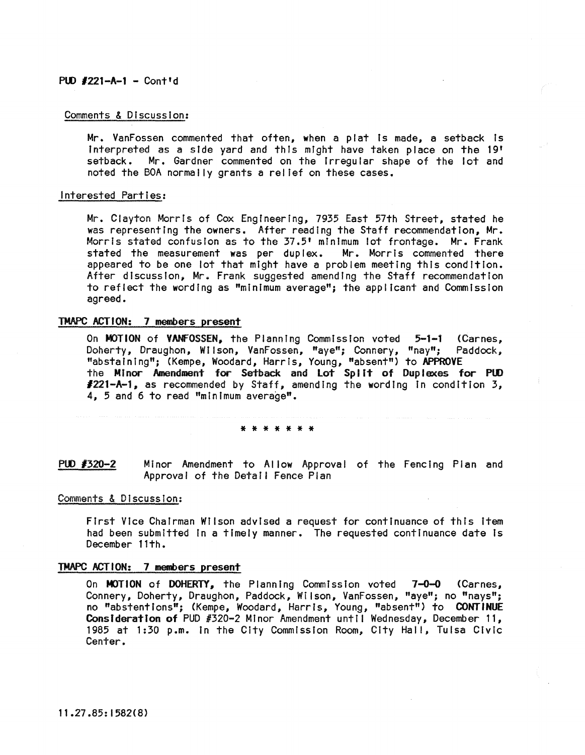# $PUD$  #221-A-1 - Cont'd

# Comments & DiscussIon:

Mr. VanFossen commented that often, when a plat is made, a setback is Interpreted as a side yard and this might have taken place on the 19' setback. Mr. Gardner commented on the Irregular shape of the lot and noted the BOA normally grants a relief on these cases.

### Interested Parties:

Mr. Clayton Morris of Cox EngineerIng, 7935 East 57th Street, stated he was representing the owners. After reading the Staff recommendation, Mr. Morris stated confusion as to the 37.5' minimum lot frontage. Mr. Frank stated the measurement was per duplex. Mr. Morris commented there appeared to be one lot that might have a problem meeting this condition. After discussion, Mr. Frank suggested amending the Staff recommendation to reflect the wording as "minimum average"; the applicant and CommissIon agreed.

# TMAPC ACTION: 7 members present

On MOTION of VANFOSSEN, the Planning Commission voted 5-1-1 (Carnes, Doherty, Draughon, Wilson, VanFossen, "ave": Connery, "nav": Paddock, Doherty, Draughon, Wilson, VanFossen, "aye"; Connery, "nay"; "abstaining"; (Kempe, Woodard, Harris, Young, "absent") to APPROVE the Minor Amendment for Setback and lot Spl It of Duplexes for PW  $f221-A-1$ , as recommended by Staff, amending the wording in condition 3, 4, 5 and 6 to read "minimum average".

#### \* \* \* \* \* \* \*

PUD #320-2 Minor Amendment to Allow Approval of the Fencing Plan and Approval of the Detail Fence Plan

### Comments & Discussion:

First Vice Chairman WIlson advIsed a request for continuance of this Item had been submitted in a timely manner. The requested continuance date is December 11th.

#### TMAPC ACTION: 7 members present

On MOTION of DOHERTY, the Planning Commission voted 7-0-0 (Carnes, Connery, Doherty, Draughon, Paddock, Wilson, VanFossen, "aye"; no "nays"; no "abstentions"; (Kempe, Woodard, Harris, Young, "absent") to CONTINUE ConsIderation of PUD #320-2 Minor Amendment until Wednesday, December 11, 1985 at 1:30 p.m. In the City Commission Room, City Hall, Tulsa Civic Center.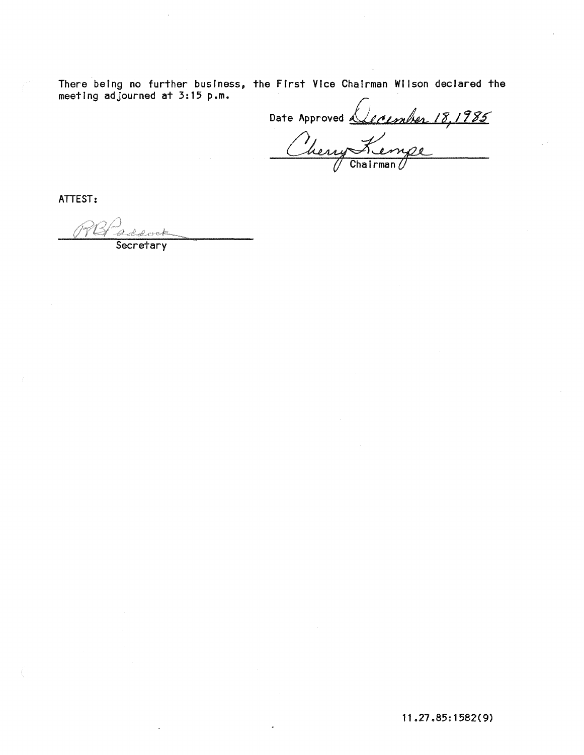**There befng no further busIness, the FIrst Vice Chairman Wilson declared the meeting adjourned at 3:15 p.m.** 

Date Approved <u>December 18, 1985</u> heny Kempe

**ArrEST:** 

**Secretary**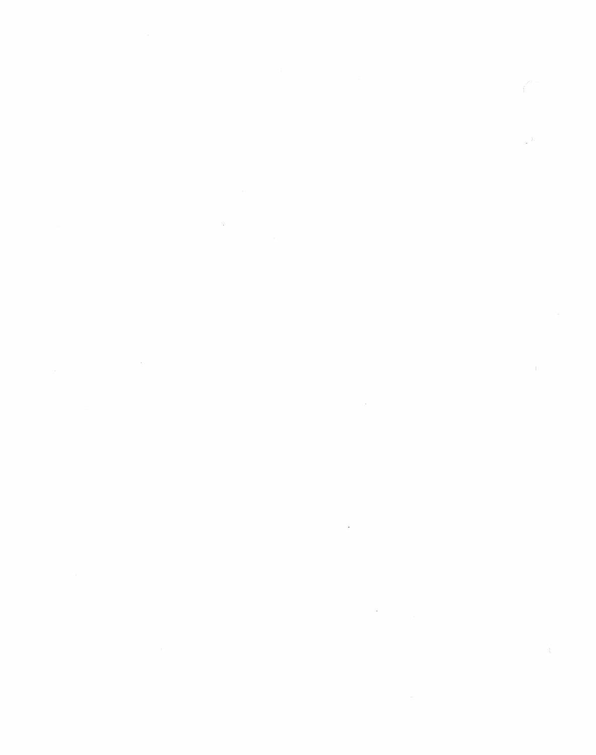$\label{eq:2.1} \frac{1}{\sqrt{2}}\left(\frac{1}{\sqrt{2}}\right)^{2} \left(\frac{1}{\sqrt{2}}\right)^{2} \left(\frac{1}{\sqrt{2}}\right)^{2} \left(\frac{1}{\sqrt{2}}\right)^{2} \left(\frac{1}{\sqrt{2}}\right)^{2} \left(\frac{1}{\sqrt{2}}\right)^{2} \left(\frac{1}{\sqrt{2}}\right)^{2} \left(\frac{1}{\sqrt{2}}\right)^{2} \left(\frac{1}{\sqrt{2}}\right)^{2} \left(\frac{1}{\sqrt{2}}\right)^{2} \left(\frac{1}{\sqrt{2}}\right)^{2} \left(\$ a de la construcción de la construcción de la construcción de la construcción de la construcción de la constru<br>En 1930, el construcción de la construcción de la construcción de la construcción de la construcción de la con  $\label{eq:2.1} \frac{1}{\sqrt{2}}\int_{\mathbb{R}^3}\frac{1}{\sqrt{2}}\left(\frac{1}{\sqrt{2}}\right)^2\frac{1}{\sqrt{2}}\left(\frac{1}{\sqrt{2}}\right)^2\frac{1}{\sqrt{2}}\left(\frac{1}{\sqrt{2}}\right)^2\frac{1}{\sqrt{2}}\left(\frac{1}{\sqrt{2}}\right)^2.$  $\label{eq:2.1} \frac{1}{\sqrt{2}}\int_{0}^{\infty}\frac{1}{\sqrt{2\pi}}\left(\frac{1}{\sqrt{2\pi}}\right)^{2\alpha} \frac{1}{\sqrt{2\pi}}\int_{0}^{\infty}\frac{1}{\sqrt{2\pi}}\left(\frac{1}{\sqrt{2\pi}}\right)^{\alpha} \frac{1}{\sqrt{2\pi}}\int_{0}^{\infty}\frac{1}{\sqrt{2\pi}}\frac{1}{\sqrt{2\pi}}\frac{1}{\sqrt{2\pi}}\frac{1}{\sqrt{2\pi}}\frac{1}{\sqrt{2\pi}}\frac{1}{\sqrt{2\pi}}\frac{1}{\sqrt{2\pi}}$ 

 $\label{eq:2.1} \frac{1}{\sqrt{2}}\int_{\mathbb{R}^3}\frac{1}{\sqrt{2}}\left(\frac{1}{\sqrt{2}}\right)^2\frac{1}{\sqrt{2}}\left(\frac{1}{\sqrt{2}}\right)^2\frac{1}{\sqrt{2}}\left(\frac{1}{\sqrt{2}}\right)^2\frac{1}{\sqrt{2}}\left(\frac{1}{\sqrt{2}}\right)^2\frac{1}{\sqrt{2}}\left(\frac{1}{\sqrt{2}}\right)^2\frac{1}{\sqrt{2}}\frac{1}{\sqrt{2}}\frac{1}{\sqrt{2}}\frac{1}{\sqrt{2}}\frac{1}{\sqrt{2}}\frac{1}{\sqrt{2}}$